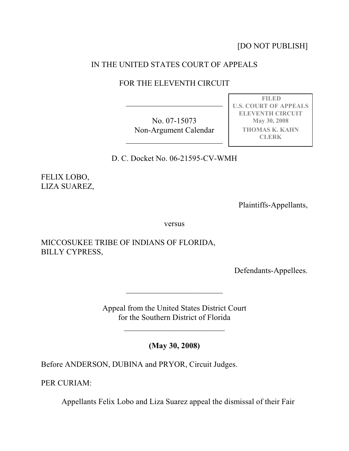[DO NOT PUBLISH]

**FILED U.S. COURT OF APPEALS ELEVENTH CIRCUIT May 30, 2008 THOMAS K. KAHN CLERK**

## IN THE UNITED STATES COURT OF APPEALS

## FOR THE ELEVENTH CIRCUIT

\_\_\_\_\_\_\_\_\_\_\_\_\_\_\_\_\_\_\_\_\_\_\_\_

No. 07-15073 Non-Argument Calendar

 $\mathcal{L}_\text{max}$  , where  $\mathcal{L}_\text{max}$  , we have the set of the set of the set of the set of the set of the set of the set of the set of the set of the set of the set of the set of the set of the set of the set of the set of

D. C. Docket No. 06-21595-CV-WMH

FELIX LOBO, LIZA SUAREZ,

Plaintiffs-Appellants,

versus

MICCOSUKEE TRIBE OF INDIANS OF FLORIDA, BILLY CYPRESS,

Defendants-Appellees.

Appeal from the United States District Court for the Southern District of Florida

 $\overline{\phantom{a}}$  , which is a set of the set of the set of the set of the set of the set of the set of the set of the set of the set of the set of the set of the set of the set of the set of the set of the set of the set of th

 $\mathcal{L}_\text{max}$  , where  $\mathcal{L}_\text{max}$  , we have the set of the set of the set of the set of the set of the set of the set of the set of the set of the set of the set of the set of the set of the set of the set of the set of

**(May 30, 2008)**

Before ANDERSON, DUBINA and PRYOR, Circuit Judges.

PER CURIAM:

Appellants Felix Lobo and Liza Suarez appeal the dismissal of their Fair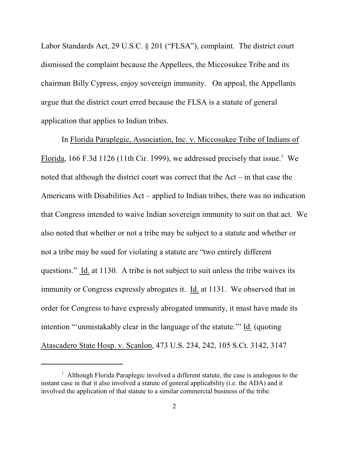Labor Standards Act, 29 U.S.C. § 201 ("FLSA"), complaint. The district court dismissed the complaint because the Appellees, the Miccosukee Tribe and its chairman Billy Cypress, enjoy sovereign immunity. On appeal, the Appellants argue that the district court erred because the FLSA is a statute of general application that applies to Indian tribes.

In Florida Paraplegic, Association, Inc. v. Miccosukee Tribe of Indians of Florida, 166 F.3d 1126 (11th Cir. 1999), we addressed precisely that issue.<sup>1</sup> We noted that although the district court was correct that the Act – in that case the Americans with Disabilities Act – applied to Indian tribes, there was no indication that Congress intended to waive Indian sovereign immunity to suit on that act. We also noted that whether or not a tribe may be subject to a statute and whether or not a tribe may be sued for violating a statute are "two entirely different questions." Id. at 1130. A tribe is not subject to suit unless the tribe waives its immunity or Congress expressly abrogates it. Id. at 1131. We observed that in order for Congress to have expressly abrogated immunity, it must have made its intention "'unmistakably clear in the language of the statute.'" Id. (quoting Atascadero State Hosp. v. Scanlon, 473 U.S. 234, 242, 105 S.Ct. 3142, 3147

 $\frac{1}{1}$  Although Florida Paraplegic involved a different statute, the case is analogous to the instant case in that it also involved a statute of general applicability (i.e. the ADA) and it involved the application of that statute to a similar commercial business of the tribe.